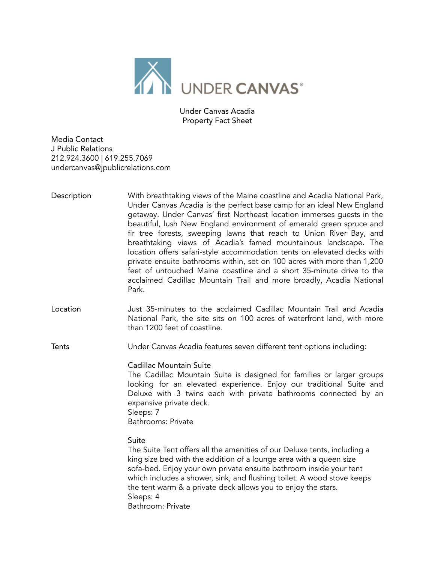

Under Canvas Acadia Property Fact Sheet

Media Contact J Public Relations 212.924.3600 | 619.255.7069 undercanvas@jpublicrelations.com

- Description With breathtaking views of the Maine coastline and Acadia National Park, Under Canvas Acadia is the perfect base camp for an ideal New England getaway. Under Canvas' first Northeast location immerses guests in the beautiful, lush New England environment of emerald green spruce and fir tree forests, sweeping lawns that reach to Union River Bay, and breathtaking views of Acadia's famed mountainous landscape. The location offers safari-style accommodation tents on elevated decks with private ensuite bathrooms within, set on 100 acres with more than 1,200 feet of untouched Maine coastline and a short 35-minute drive to the acclaimed Cadillac Mountain Trail and more broadly, Acadia National Park.
- Location Just 35-minutes to the acclaimed Cadillac Mountain Trail and Acadia National Park, the site sits on 100 acres of waterfront land, with more than 1200 feet of coastline.

Tents Under Canvas Acadia features seven different tent options including:

Cadillac Mountain Suite

The Cadillac Mountain Suite is designed for families or larger groups looking for an elevated experience. Enjoy our traditional Suite and Deluxe with 3 twins each with private bathrooms connected by an expansive private deck. Sleeps: 7

Bathrooms: Private

Suite

The Suite Tent offers all the amenities of our Deluxe tents, including a king size bed with the addition of a lounge area with a queen size sofa-bed. Enjoy your own private ensuite bathroom inside your tent which includes a shower, sink, and flushing toilet. A wood stove keeps the tent warm & a private deck allows you to enjoy the stars. Sleeps: 4 Bathroom: Private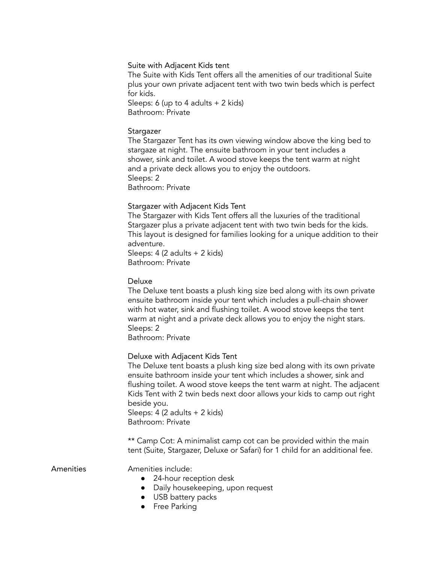### Suite with Adjacent Kids tent

The Suite with Kids Tent offers all the amenities of our traditional Suite plus your own private adjacent tent with two twin beds which is perfect for kids.

Sleeps: 6 (up to 4 adults + 2 kids) Bathroom: Private

#### **Stargazer**

The Stargazer Tent has its own viewing window above the king bed to stargaze at night. The ensuite bathroom in your tent includes a shower, sink and toilet. A wood stove keeps the tent warm at night and a private deck allows you to enjoy the outdoors. Sleeps: 2 Bathroom: Private

#### Stargazer with Adjacent Kids Tent

The Stargazer with Kids Tent offers all the luxuries of the traditional Stargazer plus a private adjacent tent with two twin beds for the kids. This layout is designed for families looking for a unique addition to their adventure.

Sleeps: 4 (2 adults + 2 kids) Bathroom: Private

### Deluxe

The Deluxe tent boasts a plush king size bed along with its own private ensuite bathroom inside your tent which includes a pull-chain shower with hot water, sink and flushing toilet. A wood stove keeps the tent warm at night and a private deck allows you to enjoy the night stars. Sleeps: 2

Bathroom: Private

#### Deluxe with Adjacent Kids Tent

The Deluxe tent boasts a plush king size bed along with its own private ensuite bathroom inside your tent which includes a shower, sink and flushing toilet. A wood stove keeps the tent warm at night. The adjacent Kids Tent with 2 twin beds next door allows your kids to camp out right beside you.

Sleeps: 4 (2 adults + 2 kids) Bathroom: Private

\*\* Camp Cot: A minimalist camp cot can be provided within the main tent (Suite, Stargazer, Deluxe or Safari) for 1 child for an additional fee.

#### Amenities Amenities include:

- 24-hour reception desk
- Daily housekeeping, upon request
- USB battery packs
- Free Parking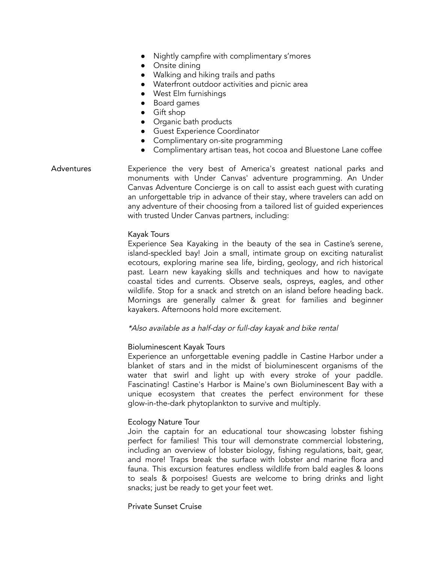- Nightly campfire with complimentary s'mores
- Onsite dining
- Walking and hiking trails and paths
- Waterfront outdoor activities and picnic area
- West Elm furnishings
- Board games
- Gift shop
- Organic bath products
- Guest Experience Coordinator
- Complimentary on-site programming
- Complimentary artisan teas, hot cocoa and Bluestone Lane coffee

# Adventures Experience the very best of America's greatest national parks and monuments with Under Canvas' adventure programming. An Under Canvas Adventure Concierge is on call to assist each guest with curating an unforgettable trip in advance of their stay, where travelers can add on any adventure of their choosing from a tailored list of guided experiences with trusted Under Canvas partners, including:

### Kayak Tours

Experience Sea Kayaking in the beauty of the sea in Castine's serene, island-speckled bay! Join a small, intimate group on exciting naturalist ecotours, exploring marine sea life, birding, geology, and rich historical past. Learn new kayaking skills and techniques and how to navigate coastal tides and currents. Observe seals, ospreys, eagles, and other wildlife. Stop for a snack and stretch on an island before heading back. Mornings are generally calmer & great for families and beginner kayakers. Afternoons hold more excitement.

\*Also available as <sup>a</sup> half-day or full-day kayak and bike rental

### Bioluminescent Kayak Tours

Experience an unforgettable evening paddle in Castine Harbor under a blanket of stars and in the midst of bioluminescent organisms of the water that swirl and light up with every stroke of your paddle. Fascinating! Castine's Harbor is Maine's own Bioluminescent Bay with a unique ecosystem that creates the perfect environment for these glow-in-the-dark phytoplankton to survive and multiply.

## Ecology Nature Tour

Join the captain for an educational tour showcasing lobster fishing perfect for families! This tour will demonstrate commercial lobstering, including an overview of lobster biology, fishing regulations, bait, gear, and more! Traps break the surface with lobster and marine flora and fauna. This excursion features endless wildlife from bald eagles & loons to seals & porpoises! Guests are welcome to bring drinks and light snacks; just be ready to get your feet wet.

### Private Sunset Cruise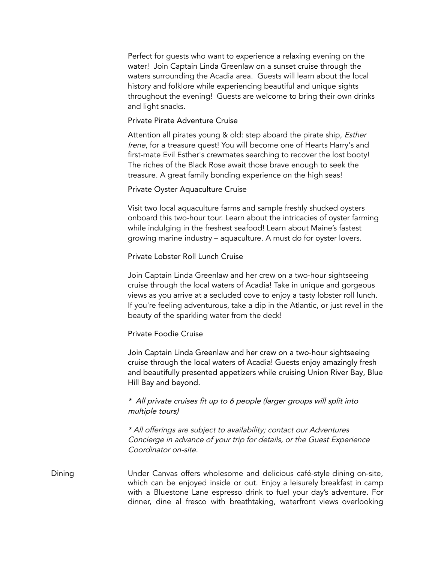Perfect for guests who want to experience a relaxing evening on the water! Join Captain Linda Greenlaw on a sunset cruise through the waters surrounding the Acadia area. Guests will learn about the local history and folklore while experiencing beautiful and unique sights throughout the evening! Guests are welcome to bring their own drinks and light snacks.

### Private Pirate Adventure Cruise

Attention all pirates young & old: step aboard the pirate ship, *Esther* Irene, for a treasure quest! You will become one of Hearts Harry's and first-mate Evil Esther's crewmates searching to recover the lost booty! The riches of the Black Rose await those brave enough to seek the treasure. A great family bonding experience on the high seas!

## Private Oyster Aquaculture Cruise

Visit two local aquaculture farms and sample freshly shucked oysters onboard this two-hour tour. Learn about the intricacies of oyster farming while indulging in the freshest seafood! Learn about Maine's fastest growing marine industry – aquaculture. A must do for oyster lovers.

## Private Lobster Roll Lunch Cruise

Join Captain Linda Greenlaw and her crew on a two-hour sightseeing cruise through the local waters of Acadia! Take in unique and gorgeous views as you arrive at a secluded cove to enjoy a tasty lobster roll lunch. If you're feeling adventurous, take a dip in the Atlantic, or just revel in the beauty of the sparkling water from the deck!

## Private Foodie Cruise

Join Captain Linda Greenlaw and her crew on a two-hour sightseeing cruise through the local waters of Acadia! Guests enjoy amazingly fresh and beautifully presented appetizers while cruising Union River Bay, Blue Hill Bay and beyond.

# \* All private cruises fit up to 6 people (larger groups will split into multiple tours)

\* All offerings are subject to availability; contact our Adventures Concierge in advance of your trip for details, or the Guest Experience Coordinator on-site.

Dining Under Canvas offers wholesome and delicious café-style dining on-site, which can be enjoyed inside or out. Enjoy a leisurely breakfast in camp with a Bluestone Lane espresso drink to fuel your day's adventure. For dinner, dine al fresco with breathtaking, waterfront views overlooking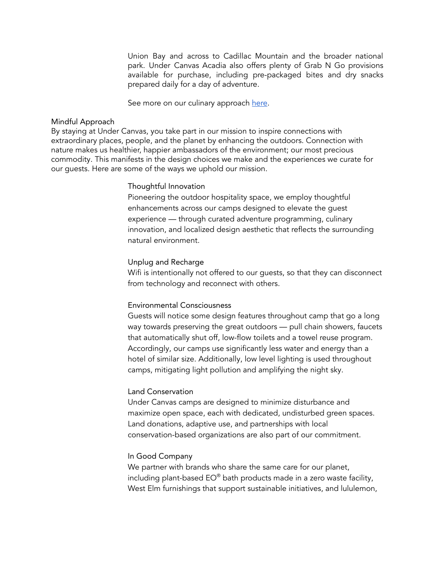Union Bay and across to Cadillac Mountain and the broader national park. Under Canvas Acadia also offers plenty of Grab N Go provisions available for purchase, including pre-packaged bites and dry snacks prepared daily for a day of adventure.

See more on our culinary approach [here](https://www.undercanvas.com/culinary/).

### Mindful Approach

By staying at Under Canvas, you take part in our mission to inspire connections with extraordinary places, people, and the planet by enhancing the outdoors. Connection with nature makes us healthier, happier ambassadors of the environment; our most precious commodity. This manifests in the design choices we make and the experiences we curate for our guests. Here are some of the ways we uphold our mission.

#### Thoughtful Innovation

Pioneering the outdoor hospitality space, we employ thoughtful enhancements across our camps designed to elevate the guest experience — through curated adventure programming, culinary innovation, and localized design aesthetic that reflects the surrounding natural environment.

### Unplug and Recharge

Wifi is intentionally not offered to our guests, so that they can disconnect from technology and reconnect with others.

### Environmental Consciousness

Guests will notice some design features throughout camp that go a long way towards preserving the great outdoors — pull chain showers, faucets that automatically shut off, low-flow toilets and a towel reuse program. Accordingly, our camps use significantly less water and energy than a hotel of similar size. Additionally, low level lighting is used throughout camps, mitigating light pollution and amplifying the night sky.

### Land Conservation

Under Canvas camps are designed to minimize disturbance and maximize open space, each with dedicated, undisturbed green spaces. Land donations, adaptive use, and partnerships with local conservation-based organizations are also part of our commitment.

## In Good Company

We partner with brands who share the same care for our planet, including plant-based EO® bath products made in a zero waste facility, West Elm furnishings that support sustainable initiatives, and lululemon,